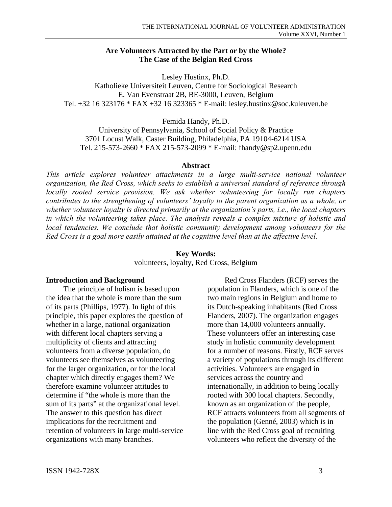# **Are Volunteers Attracted by the Part or by the Whole? The Case of the Belgian Red Cross**

Lesley Hustinx, Ph.D. Katholieke Universiteit Leuven, Centre for Sociological Research E. Van Evenstraat 2B, BE-3000, Leuven, Belgium Tel. +32 16 323176 \* FAX +32 16 323365 \* E-mail: lesley.hustinx@soc.kuleuven.be

Femida Handy, Ph.D.

University of Pennsylvania, School of Social Policy & Practice 3701 Locust Walk, Caster Building, Philadelphia, PA 19104-6214 USA Tel. 215-573-2660 \* FAX 215-573-2099 \* E-mail: fhandy@sp2.upenn.edu

### **Abstract**

*This article explores volunteer attachments in a large multi-service national volunteer organization, the Red Cross, which seeks to establish a universal standard of reference through locally rooted service provision. We ask whether volunteering for locally run chapters contributes to the strengthening of volunteers' loyalty to the parent organization as a whole, or whether volunteer loyalty is directed primarily at the organization's parts, i.e., the local chapters in which the volunteering takes place. The analysis reveals a complex mixture of holistic and local tendencies. We conclude that holistic community development among volunteers for the Red Cross is a goal more easily attained at the cognitive level than at the affective level.* 

#### **Key Words:**

volunteers, loyalty, Red Cross, Belgium

### **Introduction and Background**

The principle of holism is based upon the idea that the whole is more than the sum of its parts (Phillips, 1977). In light of this principle, this paper explores the question of whether in a large, national organization with different local chapters serving a multiplicity of clients and attracting volunteers from a diverse population, do volunteers see themselves as volunteering for the larger organization, or for the local chapter which directly engages them? We therefore examine volunteer attitudes to determine if "the whole is more than the sum of its parts" at the organizational level. The answer to this question has direct implications for the recruitment and retention of volunteers in large multi-service organizations with many branches.

Red Cross Flanders (RCF) serves the population in Flanders, which is one of the two main regions in Belgium and home to its Dutch-speaking inhabitants (Red Cross Flanders, 2007). The organization engages more than 14,000 volunteers annually. These volunteers offer an interesting case study in holistic community development for a number of reasons. Firstly, RCF serves a variety of populations through its different activities. Volunteers are engaged in services across the country and internationally, in addition to being locally rooted with 300 local chapters. Secondly, known as an organization of the people, RCF attracts volunteers from all segments of the population (Genné, 2003) which is in line with the Red Cross goal of recruiting volunteers who reflect the diversity of the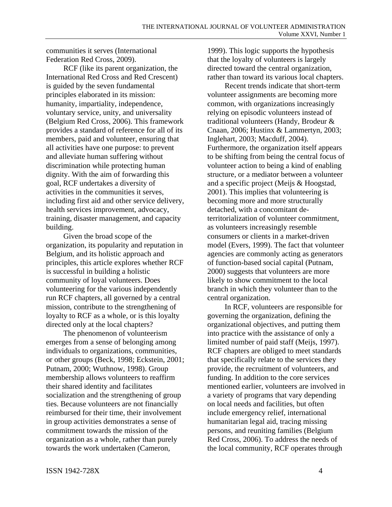communities it serves (International Federation Red Cross, 2009).

RCF (like its parent organization, the International Red Cross and Red Crescent) is guided by the seven fundamental principles elaborated in its mission: humanity, impartiality, independence, voluntary service, unity, and universality (Belgium Red Cross, 2006). This framework provides a standard of reference for all of its members, paid and volunteer, ensuring that all activities have one purpose: to prevent and alleviate human suffering without discrimination while protecting human dignity. With the aim of forwarding this goal, RCF undertakes a diversity of activities in the communities it serves, including first aid and other service delivery, health services improvement, advocacy, training, disaster management, and capacity building.

Given the broad scope of the organization, its popularity and reputation in Belgium, and its holistic approach and principles, this article explores whether RCF is successful in building a holistic community of loyal volunteers. Does volunteering for the various independently run RCF chapters, all governed by a central mission, contribute to the strengthening of loyalty to RCF as a whole, or is this loyalty directed only at the local chapters?

The phenomenon of volunteerism emerges from a sense of belonging among individuals to organizations, communities, or other groups (Beck, 1998; Eckstein, 2001; Putnam, 2000; Wuthnow, 1998). Group membership allows volunteers to reaffirm their shared identity and facilitates socialization and the strengthening of group ties. Because volunteers are not financially reimbursed for their time, their involvement in group activities demonstrates a sense of commitment towards the mission of the organization as a whole, rather than purely towards the work undertaken (Cameron,

1999). This logic supports the hypothesis that the loyalty of volunteers is largely directed toward the central organization, rather than toward its various local chapters.

Recent trends indicate that short-term volunteer assignments are becoming more common, with organizations increasingly relying on episodic volunteers instead of traditional volunteers (Handy, Brodeur & Cnaan, 2006; Hustinx & Lammertyn, 2003; Inglehart, 2003; Macduff, 2004). Furthermore, the organization itself appears to be shifting from being the central focus of volunteer action to being a kind of enabling structure, or a mediator between a volunteer and a specific project (Meijs & Hoogstad, 2001). This implies that volunteering is becoming more and more structurally detached, with a concomitant deterritorialization of volunteer commitment, as volunteers increasingly resemble consumers or clients in a market-driven model (Evers, 1999). The fact that volunteer agencies are commonly acting as generators of function-based social capital (Putnam, 2000) suggests that volunteers are more likely to show commitment to the local branch in which they volunteer than to the central organization.

In RCF, volunteers are responsible for governing the organization, defining the organizational objectives, and putting them into practice with the assistance of only a limited number of paid staff (Meijs, 1997). RCF chapters are obliged to meet standards that specifically relate to the services they provide, the recruitment of volunteers, and funding. In addition to the core services mentioned earlier, volunteers are involved in a variety of programs that vary depending on local needs and facilities, but often include emergency relief, international humanitarian legal aid, tracing missing persons, and reuniting families (Belgium Red Cross, 2006). To address the needs of the local community, RCF operates through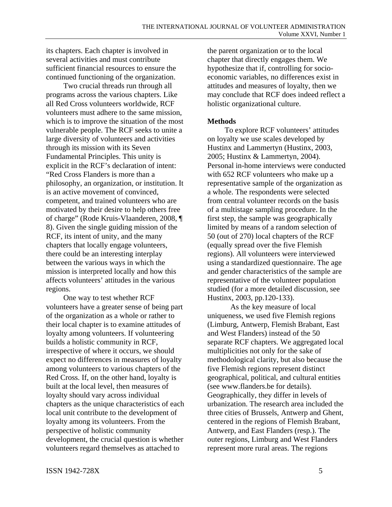its chapters. Each chapter is involved in several activities and must contribute sufficient financial resources to ensure the continued functioning of the organization.

Two crucial threads run through all programs across the various chapters. Like all Red Cross volunteers worldwide, RCF volunteers must adhere to the same mission, which is to improve the situation of the most vulnerable people. The RCF seeks to unite a large diversity of volunteers and activities through its mission with its Seven Fundamental Principles. This unity is explicit in the RCF's declaration of intent: "Red Cross Flanders is more than a philosophy, an organization, or institution. It is an active movement of convinced, competent, and trained volunteers who are motivated by their desire to help others free of charge" (Rode Kruis-Vlaanderen, 2008, ¶ 8). Given the single guiding mission of the RCF, its intent of unity, and the many chapters that locally engage volunteers, there could be an interesting interplay between the various ways in which the mission is interpreted locally and how this affects volunteers' attitudes in the various regions.

One way to test whether RCF volunteers have a greater sense of being part of the organization as a whole or rather to their local chapter is to examine attitudes of loyalty among volunteers. If volunteering builds a holistic community in RCF, irrespective of where it occurs, we should expect no differences in measures of loyalty among volunteers to various chapters of the Red Cross. If, on the other hand, loyalty is built at the local level, then measures of loyalty should vary across individual chapters as the unique characteristics of each local unit contribute to the development of loyalty among its volunteers. From the perspective of holistic community development, the crucial question is whether volunteers regard themselves as attached to

the parent organization or to the local chapter that directly engages them. We hypothesize that if, controlling for socioeconomic variables, no differences exist in attitudes and measures of loyalty, then we may conclude that RCF does indeed reflect a holistic organizational culture.

# **Methods**

To explore RCF volunteers' attitudes on loyalty we use scales developed by Hustinx and Lammertyn (Hustinx, 2003, 2005; Hustinx & Lammertyn, 2004). Personal in-home interviews were conducted with 652 RCF volunteers who make up a representative sample of the organization as a whole. The respondents were selected from central volunteer records on the basis of a multistage sampling procedure. In the first step, the sample was geographically limited by means of a random selection of 50 (out of 270) local chapters of the RCF (equally spread over the five Flemish regions). All volunteers were interviewed using a standardized questionnaire. The age and gender characteristics of the sample are representative of the volunteer population studied (for a more detailed discussion, see Hustinx, 2003, pp.120-133).

As the key measure of local uniqueness, we used five Flemish regions (Limburg, Antwerp, Flemish Brabant, East and West Flanders) instead of the 50 separate RCF chapters. We aggregated local multiplicities not only for the sake of methodological clarity, but also because the five Flemish regions represent distinct geographical, political, and cultural entities (see www.flanders.be for details). Geographically, they differ in levels of urbanization. The research area included the three cities of Brussels, Antwerp and Ghent, centered in the regions of Flemish Brabant, Antwerp, and East Flanders (resp.). The outer regions, Limburg and West Flanders represent more rural areas. The regions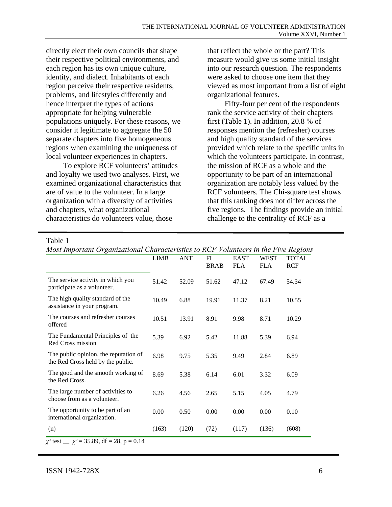directly elect their own councils that shape their respective political environments, and each region has its own unique culture, identity, and dialect. Inhabitants of each region perceive their respective residents, problems, and lifestyles differently and hence interpret the types of actions appropriate for helping vulnerable populations uniquely. For these reasons, we consider it legitimate to aggregate the 50 separate chapters into five homogeneous regions when examining the uniqueness of local volunteer experiences in chapters.

To explore RCF volunteers' attitudes and loyalty we used two analyses. First, we examined organizational characteristics that are of value to the volunteer. In a large organization with a diversity of activities and chapters, what organizational characteristics do volunteers value, those

that reflect the whole or the part? This measure would give us some initial insight into our research question. The respondents were asked to choose one item that they viewed as most important from a list of eight organizational features.

Fifty-four per cent of the respondents rank the service activity of their chapters first (Table 1). In addition, 20.8 % of responses mention the (refresher) courses and high quality standard of the services provided which relate to the specific units in which the volunteers participate. In contrast, the mission of RCF as a whole and the opportunity to be part of an international organization are notably less valued by the RCF volunteers. The Chi-square test shows that this ranking does not differ across the five regions. The findings provide an initial challenge to the centrality of RCF as a

Table 1

*Most Important Organizational Characteristics to RCF Volunteers in the Five Regions*

|                                                                            | <b>LIMB</b> | <b>ANT</b> | FL<br><b>BRAB</b> | <b>EAST</b><br><b>FLA</b> | <b>WEST</b><br><b>FLA</b> | TOTAL<br><b>RCF</b> |
|----------------------------------------------------------------------------|-------------|------------|-------------------|---------------------------|---------------------------|---------------------|
| The service activity in which you<br>participate as a volunteer.           | 51.42       | 52.09      | 51.62             | 47.12                     | 67.49                     | 54.34               |
| The high quality standard of the<br>assistance in your program.            | 10.49       | 6.88       | 19.91             | 11.37                     | 8.21                      | 10.55               |
| The courses and refresher courses<br>offered                               | 10.51       | 13.91      | 8.91              | 9.98                      | 8.71                      | 10.29               |
| The Fundamental Principles of the<br><b>Red Cross mission</b>              | 5.39        | 6.92       | 5.42              | 11.88                     | 5.39                      | 6.94                |
| The public opinion, the reputation of<br>the Red Cross held by the public. | 6.98        | 9.75       | 5.35              | 9.49                      | 2.84                      | 6.89                |
| The good and the smooth working of<br>the Red Cross.                       | 8.69        | 5.38       | 6.14              | 6.01                      | 3.32                      | 6.09                |
| The large number of activities to<br>choose from as a volunteer.           | 6.26        | 4.56       | 2.65              | 5.15                      | 4.05                      | 4.79                |
| The opportunity to be part of an<br>international organization.            | 0.00        | 0.50       | 0.00              | 0.00                      | 0.00                      | 0.10                |
| (n)                                                                        | (163)       | (120)      | (72)              | (117)                     | (136)                     | (608)               |

*χ*<sup>2</sup> test \_\_ *χ*<sup>2</sup> = 35.89, df = 28, p = 0.14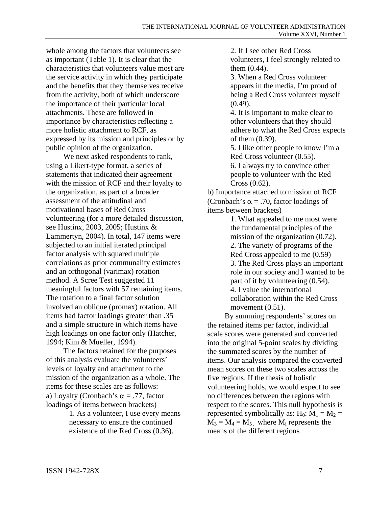whole among the factors that volunteers see as important (Table 1). It is clear that the characteristics that volunteers value most are the service activity in which they participate and the benefits that they themselves receive from the activity, both of which underscore the importance of their particular local attachments. These are followed in importance by characteristics reflecting a more holistic attachment to RCF, as expressed by its mission and principles or by public opinion of the organization.

We next asked respondents to rank, using a Likert-type format, a series of statements that indicated their agreement with the mission of RCF and their loyalty to the organization, as part of a broader assessment of the attitudinal and motivational bases of Red Cross volunteering (for a more detailed discussion, see Hustinx, 2003, 2005; Hustinx & Lammertyn, 2004). In total, 147 items were subjected to an initial iterated principal factor analysis with squared multiple correlations as prior communality estimates and an orthogonal (varimax) rotation method. A Scree Test suggested 11 meaningful factors with 57 remaining items. The rotation to a final factor solution involved an oblique (promax) rotation. All items had factor loadings greater than .35 and a simple structure in which items have high loadings on one factor only (Hatcher, 1994; Kim & Mueller, 1994).

The factors retained for the purposes of this analysis evaluate the volunteers' levels of loyalty and attachment to the mission of the organization as a whole. The items for these scales are as follows: a) Loyalty (Cronbach's  $\alpha$  = .77, factor loadings of items between brackets)

> 1. As a volunteer, I use every means necessary to ensure the continued existence of the Red Cross (0.36).

2. If I see other Red Cross volunteers, I feel strongly related to them (0.44).

3. When a Red Cross volunteer appears in the media, I'm proud of being a Red Cross volunteer myself (0.49).

4. It is important to make clear to other volunteers that they should adhere to what the Red Cross expects of them (0.39).

5. I like other people to know I'm a Red Cross volunteer (0.55). 6. I always try to convince other people to volunteer with the Red Cross (0.62).

b) Importance attached to mission of RCF (Cronbach's  $\alpha$  = .70, factor loadings of items between brackets)

> 1. What appealed to me most were the fundamental principles of the mission of the organization (0.72). 2. The variety of programs of the Red Cross appealed to me (0.59) 3. The Red Cross plays an important role in our society and I wanted to be part of it by volunteering (0.54). 4. I value the international collaboration within the Red Cross movement  $(0.51)$ .

By summing respondents' scores on the retained items per factor, individual scale scores were generated and converted into the original 5-point scales by dividing the summated scores by the number of items. Our analysis compared the converted mean scores on these two scales across the five regions. If the thesis of holistic volunteering holds, we would expect to see no differences between the regions with respect to the scores. This null hypothesis is represented symbolically as:  $H_0$ :  $M_1 = M_2$  =  $M_3 = M_4 = M_5$ , where  $M_i$  represents the means of the different regions*.*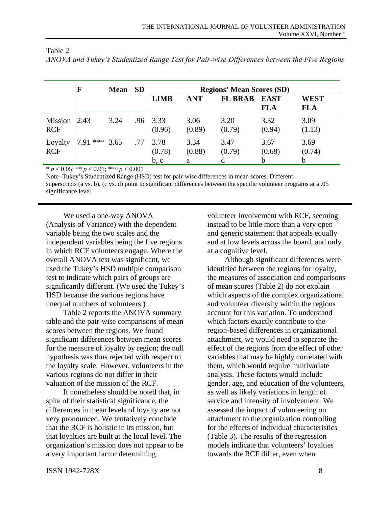|                       | F         | <b>Mean</b> | <b>SD</b> | <b>Regions' Mean Scores (SD)</b> |                     |                     |                           |                     |
|-----------------------|-----------|-------------|-----------|----------------------------------|---------------------|---------------------|---------------------------|---------------------|
|                       |           |             |           | <b>LIMB</b>                      | <b>ANT</b>          | <b>FL BRAB</b>      | <b>EAST</b><br><b>FLA</b> | WEST<br><b>FLA</b>  |
| Mission<br><b>RCF</b> | 2.43      | 3.24        | .96       | 3.33<br>(0.96)                   | 3.06<br>(0.89)      | 3.20<br>(0.79)      | 3.32<br>(0.94)            | 3.09<br>(1.13)      |
| Loyalty<br><b>RCF</b> | $7.91***$ | 3.65        | .77       | 3.78<br>(0.78)<br>b, c           | 3.34<br>(0.88)<br>a | 3.47<br>(0.79)<br>d | 3.67<br>(0.68)<br>h       | 3.69<br>(0.74)<br>b |

*ANOVA and Tukey's Studentized Range Test for Pair-wise Differences between the Five Regions* 

\* *p* < 0.05; \*\* *p* < 0.01; \*\*\* *p* < 0.001

Table 2

Note -Tukey's Studentized Range (HSD) test for pair-wise differences in mean scores. Different superscripts (a vs. b), (c vs. d) point to significant differences between the specific volunteer programs at a **.**05 significance level

We used a one-way ANOVA (Analysis of Variance) with the dependent variable being the two scales and the independent variables being the five regions in which RCF volunteers engage. Where the overall ANOVA test was significant, we used the Tukey's HSD multiple comparison test to indicate which pairs of groups are significantly different. (We used the Tukey's HSD because the various regions have unequal numbers of volunteers.)

Table 2 reports the ANOVA summary table and the pair-wise comparisons of mean scores between the regions. We found significant differences between mean scores for the measure of loyalty by region; the null hypothesis was thus rejected with respect to the loyalty scale. However, volunteers in the various regions do not differ in their valuation of the mission of the RCF.

It nonetheless should be noted that, in spite of their statistical significance, the differences in mean levels of loyalty are not very pronounced. We tentatively conclude that the RCF is holistic in its mission, but that loyalties are built at the local level. The organization's mission does not appear to be a very important factor determining

volunteer involvement with RCF, seeming instead to be little more than a very open and generic statement that appeals equally and at low levels across the board, and only at a cognitive level.

Although significant differences were identified between the regions for loyalty, the measures of association and comparisons of mean scores (Table 2) do not explain which aspects of the complex organizational and volunteer diversity within the regions account for this variation. To understand which factors exactly contribute to the region-based differences in organizational attachment, we would need to separate the effect of the regions from the effect of other variables that may be highly correlated with them, which would require multivariate analysis. These factors would include gender, age, and education of the volunteers, as well as likely variations in length of service and intensity of involvement. We assessed the impact of volunteering on attachment to the organization controlling for the effects of individual characteristics (Table 3). The results of the regression models indicate that volunteers' loyalties towards the RCF differ, even when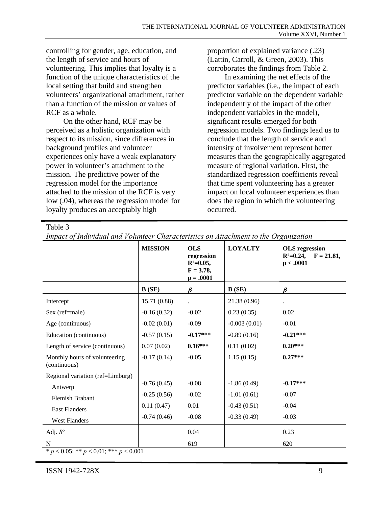controlling for gender, age, education, and the length of service and hours of volunteering. This implies that loyalty is a function of the unique characteristics of the local setting that build and strengthen volunteers' organizational attachment, rather than a function of the mission or values of RCF as a whole.

On the other hand, RCF may be perceived as a holistic organization with respect to its mission, since differences in background profiles and volunteer experiences only have a weak explanatory power in volunteer's attachment to the mission. The predictive power of the regression model for the importance attached to the mission of the RCF is very low (.04), whereas the regression model for loyalty produces an acceptably high

proportion of explained variance (.23) (Lattin, Carroll, & Green, 2003). This corroborates the findings from Table 2.

In examining the net effects of the predictor variables (i.e., the impact of each predictor variable on the dependent variable independently of the impact of the other independent variables in the model), significant results emerged for both regression models. Two findings lead us to conclude that the length of service and intensity of involvement represent better measures than the geographically aggregated measure of regional variation. First, the standardized regression coefficients reveal that time spent volunteering has a greater impact on local volunteer experiences than does the region in which the volunteering occurred.

Table 3

|                                                    | <b>MISSION</b> | <b>OLS</b><br>regression<br>$R^2=0.05$ .<br>$F = 3.78$ ,<br>$p = .0001$ | <b>LOYALTY</b> | <b>OLS</b> regression<br>$R^2=0.24$ ,<br>$F = 21.81,$<br>p < .0001 |
|----------------------------------------------------|----------------|-------------------------------------------------------------------------|----------------|--------------------------------------------------------------------|
|                                                    | B(SE)          | ß                                                                       | B(SE)          | ß                                                                  |
| Intercept                                          | 15.71 (0.88)   |                                                                         | 21.38 (0.96)   |                                                                    |
| Sex (ref=male)                                     | $-0.16(0.32)$  | $-0.02$                                                                 | 0.23(0.35)     | 0.02                                                               |
| Age (continuous)                                   | $-0.02(0.01)$  | $-0.09$                                                                 | $-0.003(0.01)$ | $-0.01$                                                            |
| Education (continuous)                             | $-0.57(0.15)$  | $-0.17***$                                                              | $-0.89(0.16)$  | $-0.21***$                                                         |
| Length of service (continuous)                     | 0.07(0.02)     | $0.16***$                                                               | 0.11(0.02)     | $0.20***$                                                          |
| Monthly hours of volunteering<br>(continuous)      | $-0.17(0.14)$  | $-0.05$                                                                 | 1.15(0.15)     | $0.27***$                                                          |
| Regional variation (ref=Limburg)                   |                |                                                                         |                |                                                                    |
| Antwerp                                            | $-0.76(0.45)$  | $-0.08$                                                                 | $-1.86(0.49)$  | $-0.17***$                                                         |
| <b>Flemish Brabant</b>                             | $-0.25(0.56)$  | $-0.02$                                                                 | $-1.01(0.61)$  | $-0.07$                                                            |
| <b>East Flanders</b>                               | 0.11(0.47)     | 0.01                                                                    | $-0.43(0.51)$  | $-0.04$                                                            |
| West Flanders                                      | $-0.74(0.46)$  | $-0.08$                                                                 | $-0.33(0.49)$  | $-0.03$                                                            |
| Adj. $R^2$                                         |                | 0.04                                                                    |                | 0.23                                                               |
| N<br>$* n > 0.05$ $* * n > 0.01$ $* * * n > 0.001$ |                | 619                                                                     |                | 620                                                                |

*Impact of Individual and Volunteer Characteristics on Attachment to the Organization* 

\* *p* < 0.05; \*\* *p* < 0.01; \*\*\* *p* < 0.001

ISSN 1942-728X 9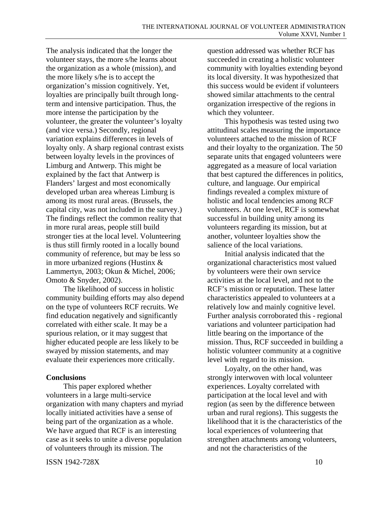The analysis indicated that the longer the volunteer stays, the more s/he learns about the organization as a whole (mission), and the more likely s/he is to accept the organization's mission cognitively. Yet, loyalties are principally built through longterm and intensive participation. Thus, the more intense the participation by the volunteer, the greater the volunteer's loyalty (and vice versa.) Secondly, regional variation explains differences in levels of loyalty only. A sharp regional contrast exists between loyalty levels in the provinces of Limburg and Antwerp. This might be explained by the fact that Antwerp is Flanders' largest and most economically developed urban area whereas Limburg is among its most rural areas. (Brussels, the capital city, was not included in the survey.) The findings reflect the common reality that in more rural areas, people still build stronger ties at the local level. Volunteering is thus still firmly rooted in a locally bound community of reference, but may be less so in more urbanized regions (Hustinx & Lammertyn, 2003; Okun & Michel, 2006; Omoto & Snyder, 2002).

The likelihood of success in holistic community building efforts may also depend on the type of volunteers RCF recruits. We find education negatively and significantly correlated with either scale. It may be a spurious relation, or it may suggest that higher educated people are less likely to be swayed by mission statements, and may evaluate their experiences more critically.

### **Conclusions**

This paper explored whether volunteers in a large multi-service organization with many chapters and myriad locally initiated activities have a sense of being part of the organization as a whole. We have argued that RCF is an interesting case as it seeks to unite a diverse population of volunteers through its mission. The

question addressed was whether RCF has succeeded in creating a holistic volunteer community with loyalties extending beyond its local diversity. It was hypothesized that this success would be evident if volunteers showed similar attachments to the central organization irrespective of the regions in which they volunteer.

This hypothesis was tested using two attitudinal scales measuring the importance volunteers attached to the mission of RCF and their loyalty to the organization. The 50 separate units that engaged volunteers were aggregated as a measure of local variation that best captured the differences in politics, culture, and language. Our empirical findings revealed a complex mixture of holistic and local tendencies among RCF volunteers. At one level, RCF is somewhat successful in building unity among its volunteers regarding its mission, but at another, volunteer loyalties show the salience of the local variations.

Initial analysis indicated that the organizational characteristics most valued by volunteers were their own service activities at the local level, and not to the RCF's mission or reputation. These latter characteristics appealed to volunteers at a relatively low and mainly cognitive level. Further analysis corroborated this - regional variations and volunteer participation had little bearing on the importance of the mission. Thus, RCF succeeded in building a holistic volunteer community at a cognitive level with regard to its mission.

Loyalty, on the other hand, was strongly interwoven with local volunteer experiences. Loyalty correlated with participation at the local level and with region (as seen by the difference between urban and rural regions). This suggests the likelihood that it is the characteristics of the local experiences of volunteering that strengthen attachments among volunteers, and not the characteristics of the

ISSN 1942-728X 10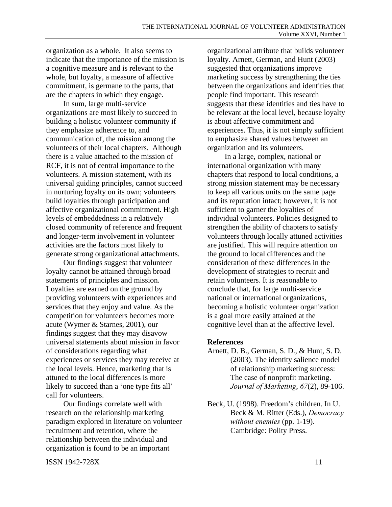organization as a whole. It also seems to indicate that the importance of the mission is a cognitive measure and is relevant to the whole, but loyalty, a measure of affective commitment, is germane to the parts, that are the chapters in which they engage.

In sum, large multi-service organizations are most likely to succeed in building a holistic volunteer community if they emphasize adherence to, and communication of, the mission among the volunteers of their local chapters. Although there is a value attached to the mission of RCF, it is not of central importance to the volunteers. A mission statement, with its universal guiding principles, cannot succeed in nurturing loyalty on its own; volunteers build loyalties through participation and affective organizational commitment. High levels of embeddedness in a relatively closed community of reference and frequent and longer-term involvement in volunteer activities are the factors most likely to generate strong organizational attachments.

Our findings suggest that volunteer loyalty cannot be attained through broad statements of principles and mission. Loyalties are earned on the ground by providing volunteers with experiences and services that they enjoy and value. As the competition for volunteers becomes more acute (Wymer & Starnes, 2001), our findings suggest that they may disavow universal statements about mission in favor of considerations regarding what experiences or services they may receive at the local levels. Hence, marketing that is attuned to the local differences is more likely to succeed than a 'one type fits all' call for volunteers.

Our findings correlate well with research on the relationship marketing paradigm explored in literature on volunteer recruitment and retention, where the relationship between the individual and organization is found to be an important

organizational attribute that builds volunteer loyalty. Arnett, German, and Hunt (2003) suggested that organizations improve marketing success by strengthening the ties between the organizations and identities that people find important. This research suggests that these identities and ties have to be relevant at the local level, because loyalty is about affective commitment and experiences. Thus, it is not simply sufficient to emphasize shared values between an organization and its volunteers.

In a large, complex, national or international organization with many chapters that respond to local conditions, a strong mission statement may be necessary to keep all various units on the same page and its reputation intact; however, it is not sufficient to garner the loyalties of individual volunteers. Policies designed to strengthen the ability of chapters to satisfy volunteers through locally attuned activities are justified. This will require attention on the ground to local differences and the consideration of these differences in the development of strategies to recruit and retain volunteers. It is reasonable to conclude that, for large multi-service national or international organizations, becoming a holistic volunteer organization is a goal more easily attained at the cognitive level than at the affective level.

### **References**

- Arnett, D. B., German, S. D., & Hunt, S. D. (2003). The identity salience model of relationship marketing success: The case of nonprofit marketing. *Journal of Marketing*, *67*(2), 89-106.
- Beck, U. (1998). Freedom's children. In U. Beck & M. Ritter (Eds.), *Democracy without enemies* (pp. 1-19). Cambridge: Polity Press.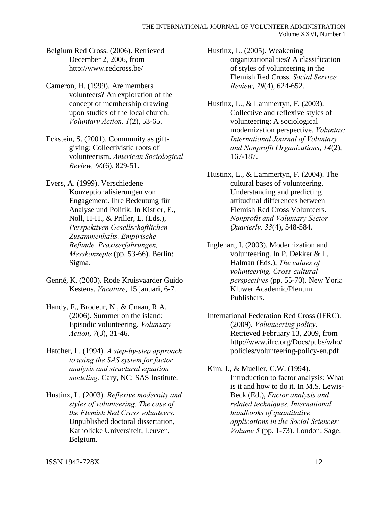- Belgium Red Cross. (2006). Retrieved December 2, 2006, from http://www.redcross.be/
- Cameron, H. (1999). Are members volunteers? An exploration of the concept of membership drawing upon studies of the local church. *Voluntary Action, 1*(2), 53-65.
- Eckstein, S. (2001). Community as giftgiving: Collectivistic roots of volunteerism. *American Sociological Review, 66*(6), 829-51.
- Evers, A. (1999). Verschiedene Konzeptionalisierungen von Engagement. Ihre Bedeutung für Analyse und Politik. In Kistler, E., Noll, H-H., & Priller, E. (Eds.), *Perspektiven Gesellschaftlichen Zusammenhalts. Empirische Befunde, Praxiserfahrungen, Messkonzepte* (pp. 53-66). Berlin: Sigma.
- Genné, K. (2003). Rode Kruisvaarder Guido Kestens. *Vacature*, 15 januari, 6-7.
- Handy, F., Brodeur, N., & Cnaan, R.A. (2006). Summer on the island: Episodic volunteering. *Voluntary Action*, *7*(3), 31-46.
- Hatcher, L. (1994). *A step-by-step approach to using the SAS system for factor analysis and structural equation modeling.* Cary, NC: SAS Institute.
- Hustinx, L. (2003). *Reflexive modernity and styles of volunteering. The case of the Flemish Red Cross volunteers*. Unpublished doctoral dissertation, Katholieke Universiteit, Leuven, Belgium.

Hustinx, L. (2005). Weakening organizational ties? A classification of styles of volunteering in the Flemish Red Cross. *Social Service Review*, *79*(4), 624-652.

- Hustinx, L., & Lammertyn, F. (2003). Collective and reflexive styles of volunteering: A sociological modernization perspective. *Voluntas: International Journal of Voluntary and Nonprofit Organizations*, *14*(2), 167-187.
- Hustinx, L., & Lammertyn, F. (2004). The cultural bases of volunteering. Understanding and predicting attitudinal differences between Flemish Red Cross Volunteers. *Nonprofit and Voluntary Sector Quarterly, 33*(4), 548-584.
- Inglehart, I. (2003). Modernization and volunteering. In P. Dekker & L. Halman (Eds.), *The values of volunteering. Cross-cultural perspectives* (pp. 55-70). New York: Kluwer Academic/Plenum Publishers.
- International Federation Red Cross (IFRC). (2009). *Volunteering policy*. Retrieved February 13, 2009, from http://www.ifrc.org/Docs/pubs/who/ policies/volunteering-policy-en.pdf
- Kim, J., & Mueller, C.W. (1994). Introduction to factor analysis: What is it and how to do it. In M.S. Lewis-Beck (Ed.), *Factor analysis and related techniques. International handbooks of quantitative applications in the Social Sciences: Volume 5* (pp. 1-73). London: Sage.